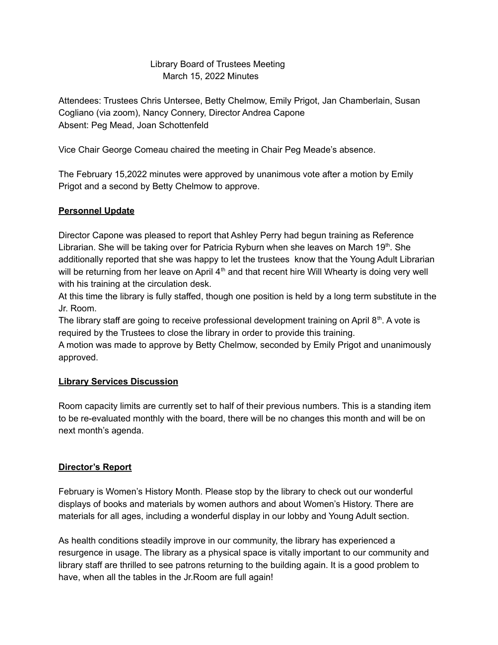# Library Board of Trustees Meeting March 15, 2022 Minutes

Attendees: Trustees Chris Untersee, Betty Chelmow, Emily Prigot, Jan Chamberlain, Susan Cogliano (via zoom), Nancy Connery, Director Andrea Capone Absent: Peg Mead, Joan Schottenfeld

Vice Chair George Comeau chaired the meeting in Chair Peg Meade's absence.

The February 15,2022 minutes were approved by unanimous vote after a motion by Emily Prigot and a second by Betty Chelmow to approve.

# **Personnel Update**

Director Capone was pleased to report that Ashley Perry had begun training as Reference Librarian. She will be taking over for Patricia Ryburn when she leaves on March 19<sup>th</sup>. She additionally reported that she was happy to let the trustees know that the Young Adult Librarian will be returning from her leave on April  $4<sup>th</sup>$  and that recent hire Will Whearty is doing very well with his training at the circulation desk.

At this time the library is fully staffed, though one position is held by a long term substitute in the Jr. Room.

The library staff are going to receive professional development training on April  $8<sup>th</sup>$ . A vote is required by the Trustees to close the library in order to provide this training.

A motion was made to approve by Betty Chelmow, seconded by Emily Prigot and unanimously approved.

# **Library Services Discussion**

Room capacity limits are currently set to half of their previous numbers. This is a standing item to be re-evaluated monthly with the board, there will be no changes this month and will be on next month's agenda.

# **Director's Report**

February is Women's History Month. Please stop by the library to check out our wonderful displays of books and materials by women authors and about Women's History. There are materials for all ages, including a wonderful display in our lobby and Young Adult section.

As health conditions steadily improve in our community, the library has experienced a resurgence in usage. The library as a physical space is vitally important to our community and library staff are thrilled to see patrons returning to the building again. It is a good problem to have, when all the tables in the Jr.Room are full again!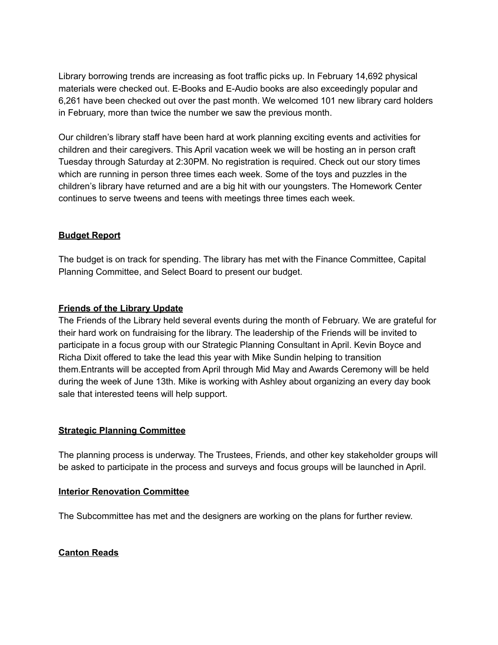Library borrowing trends are increasing as foot traffic picks up. In February 14,692 physical materials were checked out. E-Books and E-Audio books are also exceedingly popular and 6,261 have been checked out over the past month. We welcomed 101 new library card holders in February, more than twice the number we saw the previous month.

Our children's library staff have been hard at work planning exciting events and activities for children and their caregivers. This April vacation week we will be hosting an in person craft Tuesday through Saturday at 2:30PM. No registration is required. Check out our story times which are running in person three times each week. Some of the toys and puzzles in the children's library have returned and are a big hit with our youngsters. The Homework Center continues to serve tweens and teens with meetings three times each week.

### **Budget Report**

The budget is on track for spending. The library has met with the Finance Committee, Capital Planning Committee, and Select Board to present our budget.

### **Friends of the Library Update**

The Friends of the Library held several events during the month of February. We are grateful for their hard work on fundraising for the library. The leadership of the Friends will be invited to participate in a focus group with our Strategic Planning Consultant in April. Kevin Boyce and Richa Dixit offered to take the lead this year with Mike Sundin helping to transition them.Entrants will be accepted from April through Mid May and Awards Ceremony will be held during the week of June 13th. Mike is working with Ashley about organizing an every day book sale that interested teens will help support.

### **Strategic Planning Committee**

The planning process is underway. The Trustees, Friends, and other key stakeholder groups will be asked to participate in the process and surveys and focus groups will be launched in April.

### **Interior Renovation Committee**

The Subcommittee has met and the designers are working on the plans for further review.

### **Canton Reads**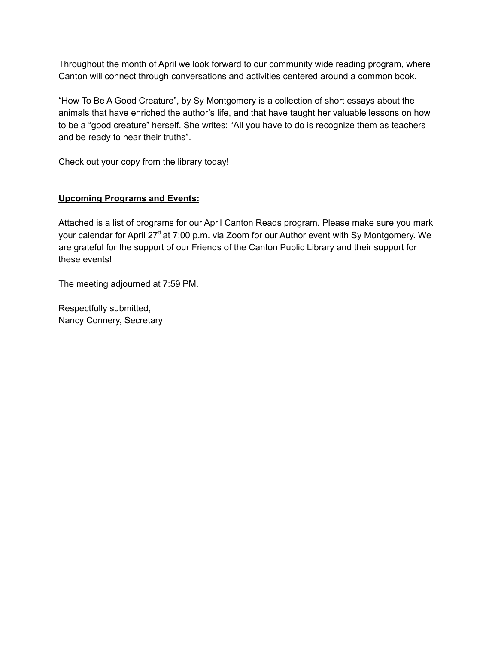Throughout the month of April we look forward to our community wide reading program, where Canton will connect through conversations and activities centered around a common book.

"How To Be A Good Creature", by Sy Montgomery is a collection of short essays about the animals that have enriched the author's life, and that have taught her valuable lessons on how to be a "good creature" herself. She writes: "All you have to do is recognize them as teachers and be ready to hear their truths".

Check out your copy from the library today!

# **Upcoming Programs and Events:**

Attached is a list of programs for our April Canton Reads program. Please make sure you mark your calendar for April 27<sup>tt</sup> at 7:00 p.m. via Zoom for our Author event with Sy Montgomery. We are grateful for the support of our Friends of the Canton Public Library and their support for these events!

The meeting adjourned at 7:59 PM.

Respectfully submitted, Nancy Connery, Secretary